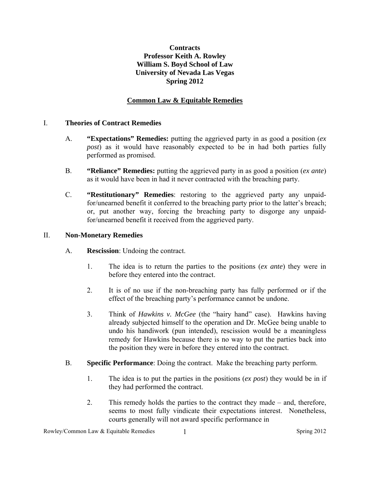# **Contracts Professor Keith A. Rowley William S. Boyd School of Law University of Nevada Las Vegas Spring 2012**

#### **Common Law & Equitable Remedies**

#### I. **Theories of Contract Remedies**

- A. **"Expectations" Remedies:** putting the aggrieved party in as good a position (*ex post*) as it would have reasonably expected to be in had both parties fully performed as promised.
- B. **"Reliance" Remedies:** putting the aggrieved party in as good a position (*ex ante*) as it would have been in had it never contracted with the breaching party.
- C. **"Restitutionary" Remedies**: restoring to the aggrieved party any unpaidfor/unearned benefit it conferred to the breaching party prior to the latter's breach; or, put another way, forcing the breaching party to disgorge any unpaidfor/unearned benefit it received from the aggrieved party.

#### II. **Non-Monetary Remedies**

- A. **Rescission**: Undoing the contract.
	- 1. The idea is to return the parties to the positions (*ex ante*) they were in before they entered into the contract.
	- 2. It is of no use if the non-breaching party has fully performed or if the effect of the breaching party's performance cannot be undone.
	- 3. Think of *Hawkins v. McGee* (the "hairy hand" case). Hawkins having already subjected himself to the operation and Dr. McGee being unable to undo his handiwork (pun intended), rescission would be a meaningless remedy for Hawkins because there is no way to put the parties back into the position they were in before they entered into the contract.
- B. **Specific Performance**: Doing the contract. Make the breaching party perform.
	- 1. The idea is to put the parties in the positions (*ex post*) they would be in if they had performed the contract.
	- 2. This remedy holds the parties to the contract they made and, therefore, seems to most fully vindicate their expectations interest. Nonetheless, courts generally will not award specific performance in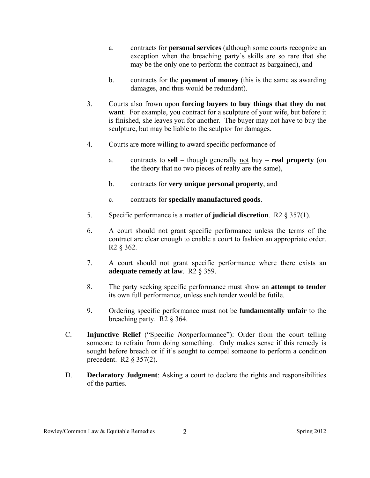- a. contracts for **personal services** (although some courts recognize an exception when the breaching party's skills are so rare that she may be the only one to perform the contract as bargained), and
- b. contracts for the **payment of money** (this is the same as awarding damages, and thus would be redundant).
- 3. Courts also frown upon **forcing buyers to buy things that they do not want**. For example, you contract for a sculpture of your wife, but before it is finished, she leaves you for another. The buyer may not have to buy the sculpture, but may be liable to the sculptor for damages.
- 4. Courts are more willing to award specific performance of
	- a. contracts to **sell**  though generally not buy **real property** (on the theory that no two pieces of realty are the same),
	- b. contracts for **very unique personal property**, and
	- c. contracts for **specially manufactured goods**.
- 5. Specific performance is a matter of **judicial discretion**. R2 § 357(1).
- 6. A court should not grant specific performance unless the terms of the contract are clear enough to enable a court to fashion an appropriate order. R2 § 362.
- 7. A court should not grant specific performance where there exists an **adequate remedy at law**. R2 § 359.
- 8. The party seeking specific performance must show an **attempt to tender** its own full performance, unless such tender would be futile.
- 9. Ordering specific performance must not be **fundamentally unfair** to the breaching party. R2 § 364.
- C. **Injunctive Relief** ("Specific *Non*performance"): Order from the court telling someone to refrain from doing something. Only makes sense if this remedy is sought before breach or if it's sought to compel someone to perform a condition precedent. R2 § 357(2).
- D. **Declaratory Judgment**: Asking a court to declare the rights and responsibilities of the parties.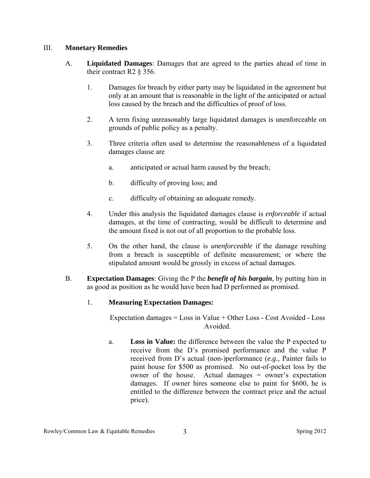## III. **Monetary Remedies**

- A. **Liquidated Damages**: Damages that are agreed to the parties ahead of time in their contract R2 § 356.
	- 1. Damages for breach by either party may be liquidated in the agreement but only at an amount that is reasonable in the light of the anticipated or actual loss caused by the breach and the difficulties of proof of loss.
	- 2. A term fixing unreasonably large liquidated damages is unenforceable on grounds of public policy as a penalty.
	- 3. Three criteria often used to determine the reasonableness of a liquidated damages clause are
		- a. anticipated or actual harm caused by the breach;
		- b. difficulty of proving loss; and
		- c. difficulty of obtaining an adequate remedy.
	- 4. Under this analysis the liquidated damages clause is *enforceable* if actual damages, at the time of contracting, would be difficult to determine and the amount fixed is not out of all proportion to the probable loss.
	- 5. On the other hand, the clause is *unenforceable* if the damage resulting from a breach is susceptible of definite measurement; or where the stipulated amount would be grossly in excess of actual damages.
- B. **Expectation Damages**: Giving the P the *benefit of his bargain*, by putting him in as good as position as he would have been had D performed as promised.

# 1. **Measuring Expectation Damages:**

Expectation damages = Loss in Value + Other Loss - Cost Avoided - Loss Avoided.

a. **Loss in Value:** the difference between the value the P expected to receive from the D's promised performance and the value P received from D's actual (non-)performance (*e.g.*, Painter fails to paint house for \$500 as promised. No out-of-pocket loss by the owner of the house. Actual damages = owner's expectation damages. If owner hires someone else to paint for \$600, he is entitled to the difference between the contract price and the actual price).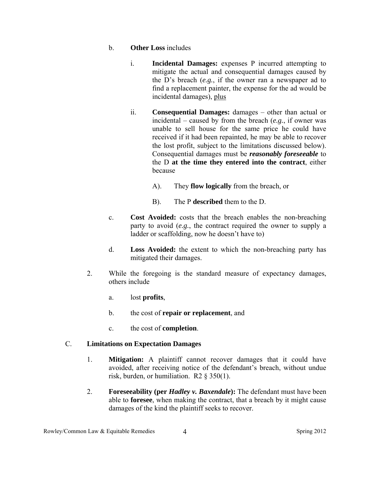## b. **Other Loss** includes

- i. **Incidental Damages:** expenses P incurred attempting to mitigate the actual and consequential damages caused by the D's breach (*e.g.*, if the owner ran a newspaper ad to find a replacement painter, the expense for the ad would be incidental damages), plus
- ii. **Consequential Damages:** damages other than actual or incidental – caused by from the breach (*e.g.*, if owner was unable to sell house for the same price he could have received if it had been repainted, he may be able to recover the lost profit, subject to the limitations discussed below). Consequential damages must be *reasonably foreseeable* to the D **at the time they entered into the contract**, either because
	- A). They **flow logically** from the breach, or
	- B). The P **described** them to the D.
- c. **Cost Avoided:** costs that the breach enables the non-breaching party to avoid (*e.g.*, the contract required the owner to supply a ladder or scaffolding, now he doesn't have to)
- d. **Loss Avoided:** the extent to which the non-breaching party has mitigated their damages.
- 2. While the foregoing is the standard measure of expectancy damages, others include
	- a. lost **profits**,
	- b. the cost of **repair or replacement**, and
	- c. the cost of **completion**.

# C. **Limitations on Expectation Damages**

- 1. **Mitigation:** A plaintiff cannot recover damages that it could have avoided, after receiving notice of the defendant's breach, without undue risk, burden, or humiliation. R2 § 350(1).
- 2. **Foreseeability (per** *Hadley v. Baxendale***):** The defendant must have been able to **foresee**, when making the contract, that a breach by it might cause damages of the kind the plaintiff seeks to recover.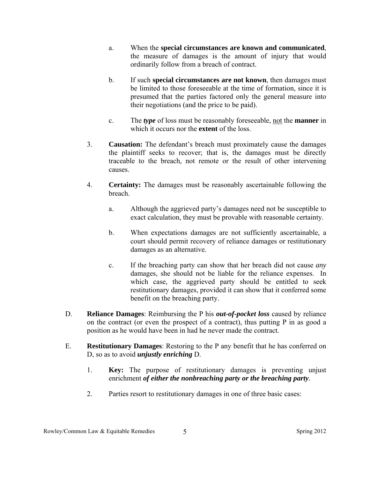- a. When the **special circumstances are known and communicated**, the measure of damages is the amount of injury that would ordinarily follow from a breach of contract.
- b. If such **special circumstances are not known**, then damages must be limited to those foreseeable at the time of formation, since it is presumed that the parties factored only the general measure into their negotiations (and the price to be paid).
- c. The *type* of loss must be reasonably foreseeable, not the **manner** in which it occurs nor the **extent** of the loss.
- 3. **Causation:** The defendant's breach must proximately cause the damages the plaintiff seeks to recover; that is, the damages must be directly traceable to the breach, not remote or the result of other intervening causes.
- 4. **Certainty:** The damages must be reasonably ascertainable following the breach.
	- a. Although the aggrieved party's damages need not be susceptible to exact calculation, they must be provable with reasonable certainty.
	- b. When expectations damages are not sufficiently ascertainable, a court should permit recovery of reliance damages or restitutionary damages as an alternative.
	- c. If the breaching party can show that her breach did not cause *any* damages, she should not be liable for the reliance expenses. In which case, the aggrieved party should be entitled to seek restitutionary damages, provided it can show that it conferred some benefit on the breaching party.
- D. **Reliance Damages**: Reimbursing the P his *out-of-pocket loss* caused by reliance on the contract (or even the prospect of a contract), thus putting P in as good a position as he would have been in had he never made the contract.
- E. **Restitutionary Damages**: Restoring to the P any benefit that he has conferred on D, so as to avoid *unjustly enriching* D.
	- 1. **Key:** The purpose of restitutionary damages is preventing unjust enrichment *of either the nonbreaching party or the breaching party*.
	- 2. Parties resort to restitutionary damages in one of three basic cases: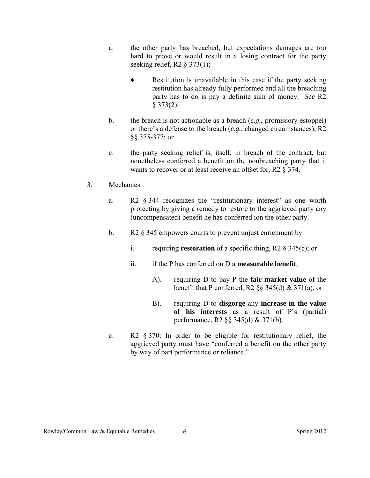- a. the other party has breached, but expectations damages are too hard to prove or would result in a losing contract for the party seeking relief, R2 § 373(1);
	- Restitution is unavailable in this case if the party seeking restitution has already fully performed and all the breaching party has to do is pay a definite sum of money. *See* R2  $§$  373(2).
- b. the breach is not actionable as a breach (*e.g.*, promissory estoppel) or there's a defense to the breach (*e.g.*, changed circumstances), R2 §§ 375-377; or
- c. the party seeking relief is, itself, in breach of the contract, but nonetheless conferred a benefit on the nonbreaching party that it wants to recover or at least receive an offset for, R2 § 374.
- 3. Mechanics
	- a. R2 § 344 recognizes the "restitutionary interest" as one worth protecting by giving a remedy to restore to the aggrieved party any (uncompensated) benefit he has conferred ion the other party.
	- b. R2 § 345 empowers courts to prevent unjust enrichment by
		- i. requiring **restoration** of a specific thing, R2 § 345(c); or
		- ii. if the P has conferred on D a **measurable benefit**,
			- A). requiring D to pay P the **fair market value** of the benefit that P conferred, R2  $\S$ § 345(d) & 371(a), or
			- B). requiring D to **disgorge** any **increase in the value of his interests** as a result of P's (partial) performance, R2 §§ 345(d) & 371(b).
	- c. R2 § 370: In order to be eligible for restitutionary relief, the aggrieved party must have "conferred a benefit on the other party by way of part performance or reliance."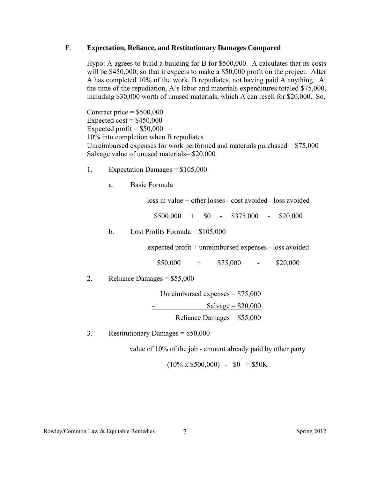#### F. **Expectation, Reliance, and Restitutionary Damages Compared**

Hypo: A agrees to build a building for B for \$500,000. A calculates that its costs will be \$450,000, so that it expects to make a \$50,000 profit on the project. After A has completed 10% of the work, B repudiates, not having paid A anything. At the time of the repudiation, A's labor and materials expenditures totaled \$75,000, including \$30,000 worth of unused materials, which A can resell for \$20,000. So,

Contract price  $=$  \$500,000 Expected cost =  $$450,000$ Expected profit  $=$  \$50,000 10% into completion when B repudiates Unreimbursed expenses for work performed and materials purchased  $= $75,000$ Salvage value of unused materials= \$20,000

- 1. Expectation Damages =  $$105,000$ 
	- a. Basic Formula

loss in value + other losses - cost avoided - loss avoided

 $$500,000 + $0 - $375,000 - $20,000$ 

## b. Lost Profits Formula =  $$105,000$

expected profit + unreimbursed expenses - loss avoided

 $$50,000 + $75,000 - $20,000$ 

2. Reliance Damages =  $$55,000$ 

 Unreimbursed expenses = \$75,000  $S$ alvage =  $$20,000$ Reliance Damages =  $$55,000$ 

3. Restitutionary Damages = \$50,000

value of 10% of the job - amount already paid by other party

 $(10\% \times \$500,000) - \$0 = \$50K$